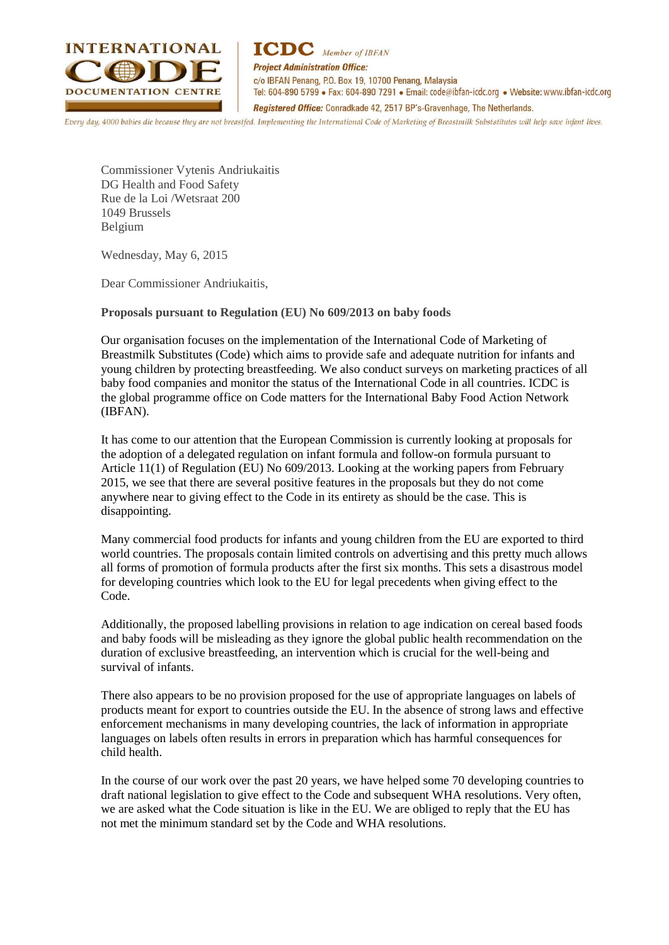

**ICDC** Member of IBFAN **Project Administration Office:** c/o IBFAN Penang, P.O. Box 19, 10700 Penang, Malaysia Tel: 604-890 5799 · Fax: 604-890 7291 · Email: code@ibfan-icdc.org · Website: www.ibfan-icdc.org Registered Office: Conradkade 42, 2517 BP's-Gravenhage, The Netherlands.

 $\frac{1}{2}$  $40$ 

Commissioner Vytenis Andriukaitis DG Health and Food Safety Rue de la Loi /Wetsraat 200 1049 Brussels Belgium

Wednesday, May 6, 2015

Dear Commissioner Andriukaitis,

**Proposals pursuant to Regulation (EU) No 609/2013 on baby foods**

Our organisation focuses on the implementation of the International Code of Marketing of Breastmilk Substitutes (Code) which aims to provide safe and adequate nutrition for infants and young children by protecting breastfeeding. We also conduct surveys on marketing practices of all baby food companies and monitor the status of the International Code in all countries. ICDC is the global programme office on Code matters for the International Baby Food Action Network (IBFAN).

It has come to our attention that the European Commission is currently looking at proposals for the adoption of a delegated regulation on infant formula and follow-on formula pursuant to Article 11(1) of Regulation (EU) No 609/2013. Looking at the working papers from February 2015, we see that there are several positive features in the proposals but they do not come anywhere near to giving effect to the Code in its entirety as should be the case. This is disappointing.

Many commercial food products for infants and young children from the EU are exported to third world countries. The proposals contain limited controls on advertising and this pretty much allows all forms of promotion of formula products after the first six months. This sets a disastrous model for developing countries which look to the EU for legal precedents when giving effect to the Code.

Additionally, the proposed labelling provisions in relation to age indication on cereal based foods and baby foods will be misleading as they ignore the global public health recommendation on the duration of exclusive breastfeeding, an intervention which is crucial for the well-being and survival of infants.

There also appears to be no provision proposed for the use of appropriate languages on labels of products meant for export to countries outside the EU. In the absence of strong laws and effective enforcement mechanisms in many developing countries, the lack of information in appropriate languages on labels often results in errors in preparation which has harmful consequences for child health.

In the course of our work over the past 20 years, we have helped some 70 developing countries to draft national legislation to give effect to the Code and subsequent WHA resolutions. Very often, we are asked what the Code situation is like in the EU. We are obliged to reply that the EU has not met the minimum standard set by the Code and WHA resolutions.